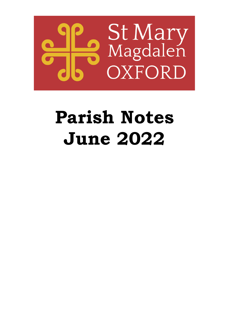

# **Parish Notes June 2022**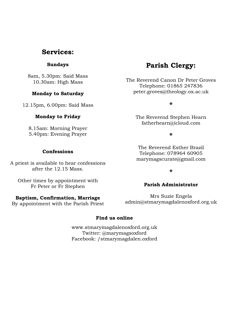## **Services:**

### **Sundays**

8am, 5.30pm: Said Mass 10.30am: High Mass

#### **Monday to Saturday**

12.15pm, 6.00pm: Said Mass

#### **Monday to Friday**

8.15am: Morning Prayer 5.40pm: Evening Prayer

#### **Confessions**

A priest is available to hear confessions after the 12.15 Mass.

Other times by appointment with Fr Peter or Fr Stephen

#### **Baptism, Confirmation, Marriage**

By appointment with the Parish Priest

# **Parish Clergy:**

The Reverend Canon Dr Peter Groves Telephone: 01865 247836 peter.groves@theology.ox.ac.uk

**\***

The Reverend Stephen Hearn fatherhearn@icloud.com

**\***

The Reverend Esther Brazil Telephone: 078964 60905 marymagscurate@gmail.com

**\***

#### **Parish Administrator**

Mrs Suzie Engela admin@stmarymagdalenoxford.org.uk

#### **Find us online**

www.stmarymagdalenoxford.org.uk Twitter: @marymagsoxford Facebook: /stmarymagdalen.oxford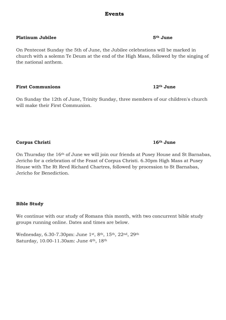### **Events**

#### **Platinum Jubilee 5th June**

On Pentecost Sunday the 5th of June, the Jubilee celebrations will be marked in church with a solemn Te Deum at the end of the High Mass, followed by the singing of the national anthem.

#### **First Communions 12th June**

On Sunday the 12th of June, Trinity Sunday, three members of our children's church will make their First Communion.

#### **Corpus Christi 16th June**

On Thursday the 16th of June we will join our friends at Pusey House and St Barnabas, Jericho for a celebration of the Feast of Corpus Christi. 6.30pm High Mass at Pusey House with The Rt Revd Richard Chartres, followed by procession to St Barnabas, Jericho for Benediction.

#### **Bible Study**

We continue with our study of Romans this month, with two concurrent bible study groups running online. Dates and times are below.

Wednesday, 6.30-7.30pm: June 1st, 8th, 15th, 22nd, 29th Saturday, 10.00-11.30am: June 4th, 18th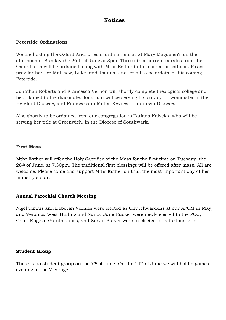## **Notices**

#### **Petertide Ordinations**

We are hosting the Oxford Area priests' ordinations at St Mary Magdalen's on the afternoon of Sunday the 26th of June at 3pm. Three other current curates from the Oxford area will be ordained along with Mthr Esther to the sacred priesthood. Please pray for her, for Matthew, Luke, and Joanna, and for all to be ordained this coming Petertide.

Jonathan Roberts and Francesca Vernon will shortly complete theological college and be ordained to the diaconate. Jonathan will be serving his curacy in Leominster in the Hereford Diocese, and Francesca in Milton Keynes, in our own Diocese.

Also shortly to be ordained from our congregation is Tatiana Kalveks, who will be serving her title at Greenwich, in the Diocese of Southwark.

#### **First Mass**

Mthr Esther will offer the Holy Sacrifice of the Mass for the first time on Tuesday, the 28th of June, at 7.30pm. The traditional first blessings will be offered after mass. All are welcome. Please come and support Mthr Esther on this, the most important day of her ministry so far.

#### **Annual Parochial Church Meeting**

Nigel Timms and Deborah Vorhies were elected as Churchwardens at our APCM in May, and Veronica West-Harling and Nancy-Jane Rucker were newly elected to the PCC; Charl Engela, Gareth Jones, and Susan Purver were re-elected for a further term.

#### **Student Group**

There is no student group on the  $7<sup>th</sup>$  of June. On the  $14<sup>th</sup>$  of June we will hold a games evening at the Vicarage.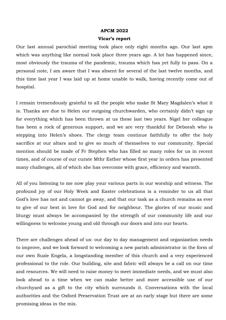#### **APCM 2022**

#### **Vicar's report**

Our last annual parochial meeting took place only eight months ago. Our last apm which was anything like normal took place three years ago. A lot has happened since, most obviously the trauma of the pandemic, trauma which has yet fully to pass. On a personal note, I am aware that I was absent for several of the last twelve months, and this time last year I was laid up at home unable to walk, having recently come out of hospital.

I remain tremendously grateful to all the people who make St Mary Magdalen's what it is. Thanks are due to Helen our outgoing churchwarden, who certainly didn't sign up for everything which has been thrown at us these last two years. Nigel her colleague has been a rock of generous support, and we are very thankful for Deborah who is stepping into Helen's shoes. The clergy team continue faithfully to offer the holy sacrifice at our altars and to give so much of themselves to our community. Special mention should be made of Fr Stephen who has filled so many roles for us in recent times, and of course of our curate Mthr Esther whose first year in orders has presented many challenges, all of which she has overcome with grace, efficiency and warmth.

All of you listening to me now play your various parts in our worship and witness. The profound joy of our Holy Week and Easter celebrations is a reminder to us all that God's love has not and cannot go away, and that our task as a church remains as ever to give of our best in love for God and for neighbour. The glories of our music and liturgy must always be accompanied by the strength of our community life and our willingness to welcome young and old through our doors and into our hearts.

There are challenges ahead of us: our day to day management and organization needs to improve, and we look forward to welcoming a new parish administrator in the form of our own Suzie Engela, a longstanding member of this church and a very experienced professional to the role. Our building, site and fabric will always be a call on our time and resources. We will need to raise money to meet immediate needs, and we must also look ahead to a time when we can make better and more accessible use of our churchyard as a gift to the city which surrounds it. Conversations with the local authorities and the Oxford Preservation Trust are at an early stage but there are some promising ideas in the mix.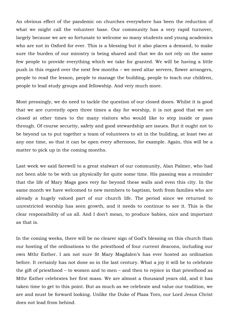An obvious effect of the pandemic on churches everywhere has been the reduction of what we might call the volunteer base. Our community has a very rapid turnover, largely because we are so fortunate to welcome so many students and young academics who are not in Oxford for ever. This is a blessing but it also places a demand, to make sure the burden of our ministry is being shared and that we do not rely on the same few people to provide everything which we take for granted. We will be having a little push in this regard over the next few months – we need altar servers, flower arrangers, people to read the lesson, people to manage the building, people to teach our children, people to lead study groups and fellowship. And very much more.

Most pressingly, we do need to tackle the question of our closed doors. Whilst it is good that we are currently open three times a day for worship, it is not good that we are closed at other times to the many visitors who would like to step inside or pass through. Of course security, safety and good stewardship are issues. But it ought not to be beyond us to put together a team of volunteers to sit in the building, at least two at any one time, so that it can be open every afternoon, for example. Again, this will be a matter to pick up in the coming months.

Last week we said farewell to a great stalwart of our community, Alan Palmer, who had not been able to be with us physically for quite some time. His passing was a reminder that the life of Mary Mags goes very far beyond these walls and even this city. In the same month we have welcomed to new members to baptism, both from families who are already a hugely valued part of our church life. The period since we returned to unrestricted worship has seen growth, and it needs to continue to see it. This is the clear responsibility of us all. And I don't mean, to produce babies, nice and important as that is.

In the coming weeks, there will be no clearer sign of God's blessing on this church than our hosting of the ordinations to the priesthood of four current deacons, including our own Mthr Esther. I am not sure St Mary Magdalen's has ever hosted an ordination before. It certainly has not done so in the last century. What a joy it will be to celebrate the gift of priesthood – to women and to men – and then to rejoice in that priesthood as Mthr Esther celebrates her first mass. We are almost a thousand years old, and it has taken time to get to this point. But as much as we celebrate and value our tradition, we are and must be forward looking. Unlike the Duke of Plaza Toro, our Lord Jesus Christ does not lead from behind.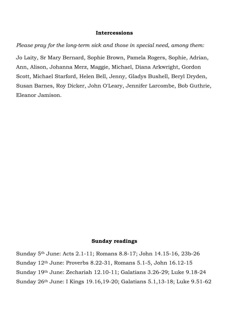#### **Intercessions**

*Please pray for the long-term sick and those in special need, among them:*

Jo Laity, Sr Mary Bernard, Sophie Brown, Pamela Rogers, Sophie, Adrian, Ann, Alison, Johanna Merz, Maggie, Michael, Diana Arkwright, Gordon Scott, Michael Starford, Helen Bell, Jenny, Gladys Bushell, Beryl Dryden, Susan Barnes, Roy Dicker, John O'Leary, Jennifer Larcombe, Bob Guthrie, Eleanor Jamison.

### **Sunday readings**

Sunday 5th June: Acts 2.1-11; Romans 8.8-17; John 14.15-16, 23b-26 Sunday 12th June: Proverbs 8.22-31, Romans 5.1-5, John 16.12-15 Sunday 19th June: Zechariah 12.10-11; Galatians 3.26-29; Luke 9.18-24 Sunday 26th June: I Kings 19.16,19-20; Galatians 5.1,13-18; Luke 9.51-62